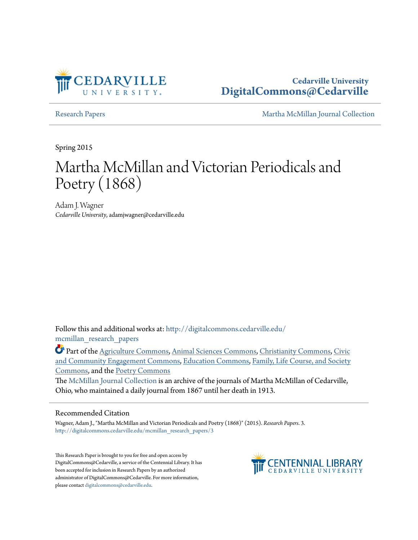

**Cedarville University [DigitalCommons@Cedarville](http://digitalcommons.cedarville.edu?utm_source=digitalcommons.cedarville.edu%2Fmcmillan_research_papers%2F3&utm_medium=PDF&utm_campaign=PDFCoverPages)**

[Research Papers](http://digitalcommons.cedarville.edu/mcmillan_research_papers?utm_source=digitalcommons.cedarville.edu%2Fmcmillan_research_papers%2F3&utm_medium=PDF&utm_campaign=PDFCoverPages) [Martha McMillan Journal Collection](http://digitalcommons.cedarville.edu/mcmillan_journal_collection?utm_source=digitalcommons.cedarville.edu%2Fmcmillan_research_papers%2F3&utm_medium=PDF&utm_campaign=PDFCoverPages)

Spring 2015

# Martha McMillan and Victorian Periodicals and Poetry (1868)

Adam J. Wagner *Cedarville University*, adamjwagner@cedarville.edu

Follow this and additional works at: [http://digitalcommons.cedarville.edu/](http://digitalcommons.cedarville.edu/mcmillan_research_papers?utm_source=digitalcommons.cedarville.edu%2Fmcmillan_research_papers%2F3&utm_medium=PDF&utm_campaign=PDFCoverPages) [mcmillan\\_research\\_papers](http://digitalcommons.cedarville.edu/mcmillan_research_papers?utm_source=digitalcommons.cedarville.edu%2Fmcmillan_research_papers%2F3&utm_medium=PDF&utm_campaign=PDFCoverPages)

Part of the [Agriculture Commons](http://network.bepress.com/hgg/discipline/1076?utm_source=digitalcommons.cedarville.edu%2Fmcmillan_research_papers%2F3&utm_medium=PDF&utm_campaign=PDFCoverPages), [Animal Sciences Commons,](http://network.bepress.com/hgg/discipline/76?utm_source=digitalcommons.cedarville.edu%2Fmcmillan_research_papers%2F3&utm_medium=PDF&utm_campaign=PDFCoverPages) [Christianity Commons](http://network.bepress.com/hgg/discipline/1181?utm_source=digitalcommons.cedarville.edu%2Fmcmillan_research_papers%2F3&utm_medium=PDF&utm_campaign=PDFCoverPages), [Civic](http://network.bepress.com/hgg/discipline/1028?utm_source=digitalcommons.cedarville.edu%2Fmcmillan_research_papers%2F3&utm_medium=PDF&utm_campaign=PDFCoverPages) [and Community Engagement Commons,](http://network.bepress.com/hgg/discipline/1028?utm_source=digitalcommons.cedarville.edu%2Fmcmillan_research_papers%2F3&utm_medium=PDF&utm_campaign=PDFCoverPages) [Education Commons,](http://network.bepress.com/hgg/discipline/784?utm_source=digitalcommons.cedarville.edu%2Fmcmillan_research_papers%2F3&utm_medium=PDF&utm_campaign=PDFCoverPages) [Family, Life Course, and Society](http://network.bepress.com/hgg/discipline/419?utm_source=digitalcommons.cedarville.edu%2Fmcmillan_research_papers%2F3&utm_medium=PDF&utm_campaign=PDFCoverPages) [Commons,](http://network.bepress.com/hgg/discipline/419?utm_source=digitalcommons.cedarville.edu%2Fmcmillan_research_papers%2F3&utm_medium=PDF&utm_campaign=PDFCoverPages) and the [Poetry Commons](http://network.bepress.com/hgg/discipline/1153?utm_source=digitalcommons.cedarville.edu%2Fmcmillan_research_papers%2F3&utm_medium=PDF&utm_campaign=PDFCoverPages)

The [McMillan Journal Collection](http://digitalcommons.cedarville.edu/mcmillan_journal_collection/) is an archive of the journals of Martha McMillan of Cedarville, Ohio, who maintained a daily journal from 1867 until her death in 1913.

#### Recommended Citation

Wagner, Adam J., "Martha McMillan and Victorian Periodicals and Poetry (1868)" (2015). *Research Papers*. 3. [http://digitalcommons.cedarville.edu/mcmillan\\_research\\_papers/3](http://digitalcommons.cedarville.edu/mcmillan_research_papers/3?utm_source=digitalcommons.cedarville.edu%2Fmcmillan_research_papers%2F3&utm_medium=PDF&utm_campaign=PDFCoverPages)

This Research Paper is brought to you for free and open access by DigitalCommons@Cedarville, a service of the Centennial Library. It has been accepted for inclusion in Research Papers by an authorized administrator of DigitalCommons@Cedarville. For more information, please contact [digitalcommons@cedarville.edu.](mailto:digitalcommons@cedarville.edu)

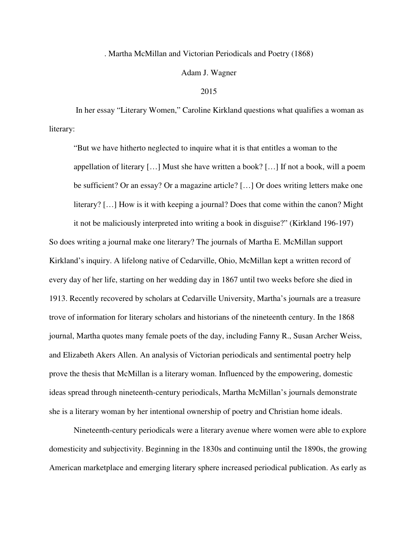## . Martha McMillan and Victorian Periodicals and Poetry (1868)

## Adam J. Wagner

#### 2015

 In her essay "Literary Women," Caroline Kirkland questions what qualifies a woman as literary:

"But we have hitherto neglected to inquire what it is that entitles a woman to the appellation of literary […] Must she have written a book? […] If not a book, will a poem be sufficient? Or an essay? Or a magazine article? […] Or does writing letters make one literary? […] How is it with keeping a journal? Does that come within the canon? Might it not be maliciously interpreted into writing a book in disguise?" (Kirkland 196-197)

So does writing a journal make one literary? The journals of Martha E. McMillan support Kirkland's inquiry. A lifelong native of Cedarville, Ohio, McMillan kept a written record of every day of her life, starting on her wedding day in 1867 until two weeks before she died in 1913. Recently recovered by scholars at Cedarville University, Martha's journals are a treasure trove of information for literary scholars and historians of the nineteenth century. In the 1868 journal, Martha quotes many female poets of the day, including Fanny R., Susan Archer Weiss, and Elizabeth Akers Allen. An analysis of Victorian periodicals and sentimental poetry help prove the thesis that McMillan is a literary woman. Influenced by the empowering, domestic ideas spread through nineteenth-century periodicals, Martha McMillan's journals demonstrate she is a literary woman by her intentional ownership of poetry and Christian home ideals.

Nineteenth-century periodicals were a literary avenue where women were able to explore domesticity and subjectivity. Beginning in the 1830s and continuing until the 1890s, the growing American marketplace and emerging literary sphere increased periodical publication. As early as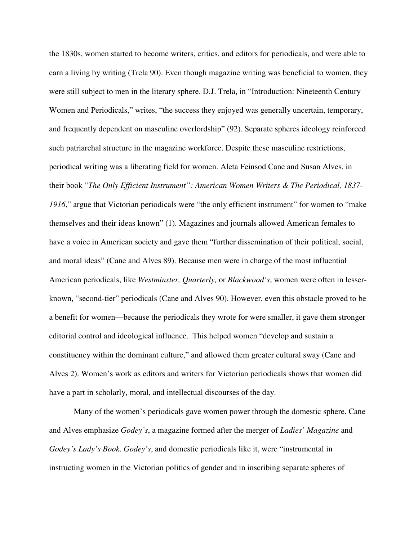the 1830s, women started to become writers, critics, and editors for periodicals, and were able to earn a living by writing (Trela 90). Even though magazine writing was beneficial to women, they were still subject to men in the literary sphere. D.J. Trela, in "Introduction: Nineteenth Century Women and Periodicals," writes, "the success they enjoyed was generally uncertain, temporary, and frequently dependent on masculine overlordship" (92). Separate spheres ideology reinforced such patriarchal structure in the magazine workforce. Despite these masculine restrictions, periodical writing was a liberating field for women. Aleta Feinsod Cane and Susan Alves, in their book "*The Only Efficient Instrument": American Women Writers & The Periodical, 1837- 1916*," argue that Victorian periodicals were "the only efficient instrument" for women to "make themselves and their ideas known" (1). Magazines and journals allowed American females to have a voice in American society and gave them "further dissemination of their political, social, and moral ideas" (Cane and Alves 89). Because men were in charge of the most influential American periodicals, like *Westminster, Quarterly,* or *Blackwood's*, women were often in lesserknown, "second-tier" periodicals (Cane and Alves 90). However, even this obstacle proved to be a benefit for women—because the periodicals they wrote for were smaller, it gave them stronger editorial control and ideological influence. This helped women "develop and sustain a constituency within the dominant culture," and allowed them greater cultural sway (Cane and Alves 2). Women's work as editors and writers for Victorian periodicals shows that women did have a part in scholarly, moral, and intellectual discourses of the day.

 Many of the women's periodicals gave women power through the domestic sphere. Cane and Alves emphasize *Godey's*, a magazine formed after the merger of *Ladies' Magazine* and *Godey's Lady's Book*. *Godey's*, and domestic periodicals like it, were "instrumental in instructing women in the Victorian politics of gender and in inscribing separate spheres of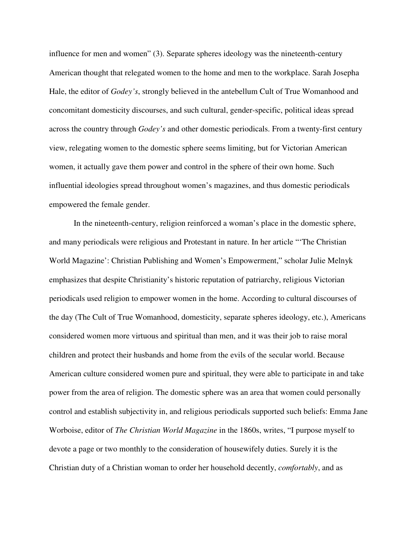influence for men and women" (3). Separate spheres ideology was the nineteenth-century American thought that relegated women to the home and men to the workplace. Sarah Josepha Hale, the editor of *Godey's*, strongly believed in the antebellum Cult of True Womanhood and concomitant domesticity discourses, and such cultural, gender-specific, political ideas spread across the country through *Godey's* and other domestic periodicals. From a twenty-first century view, relegating women to the domestic sphere seems limiting, but for Victorian American women, it actually gave them power and control in the sphere of their own home. Such influential ideologies spread throughout women's magazines, and thus domestic periodicals empowered the female gender.

 In the nineteenth-century, religion reinforced a woman's place in the domestic sphere, and many periodicals were religious and Protestant in nature. In her article "'The Christian World Magazine': Christian Publishing and Women's Empowerment," scholar Julie Melnyk emphasizes that despite Christianity's historic reputation of patriarchy, religious Victorian periodicals used religion to empower women in the home. According to cultural discourses of the day (The Cult of True Womanhood, domesticity, separate spheres ideology, etc.), Americans considered women more virtuous and spiritual than men, and it was their job to raise moral children and protect their husbands and home from the evils of the secular world. Because American culture considered women pure and spiritual, they were able to participate in and take power from the area of religion. The domestic sphere was an area that women could personally control and establish subjectivity in, and religious periodicals supported such beliefs: Emma Jane Worboise, editor of *The Christian World Magazine* in the 1860s, writes, "I purpose myself to devote a page or two monthly to the consideration of housewifely duties. Surely it is the Christian duty of a Christian woman to order her household decently, *comfortably*, and as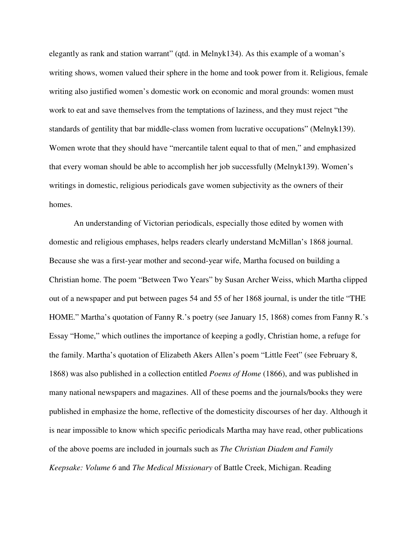elegantly as rank and station warrant" (qtd. in Melnyk134). As this example of a woman's writing shows, women valued their sphere in the home and took power from it. Religious, female writing also justified women's domestic work on economic and moral grounds: women must work to eat and save themselves from the temptations of laziness, and they must reject "the standards of gentility that bar middle-class women from lucrative occupations" (Melnyk139). Women wrote that they should have "mercantile talent equal to that of men," and emphasized that every woman should be able to accomplish her job successfully (Melnyk139). Women's writings in domestic, religious periodicals gave women subjectivity as the owners of their homes.

 An understanding of Victorian periodicals, especially those edited by women with domestic and religious emphases, helps readers clearly understand McMillan's 1868 journal. Because she was a first-year mother and second-year wife, Martha focused on building a Christian home. The poem "Between Two Years" by Susan Archer Weiss, which Martha clipped out of a newspaper and put between pages 54 and 55 of her 1868 journal, is under the title "THE HOME." Martha's quotation of Fanny R.'s poetry (see January 15, 1868) comes from Fanny R.'s Essay "Home," which outlines the importance of keeping a godly, Christian home, a refuge for the family. Martha's quotation of Elizabeth Akers Allen's poem "Little Feet" (see February 8, 1868) was also published in a collection entitled *Poems of Home* (1866), and was published in many national newspapers and magazines. All of these poems and the journals/books they were published in emphasize the home, reflective of the domesticity discourses of her day. Although it is near impossible to know which specific periodicals Martha may have read, other publications of the above poems are included in journals such as *The Christian Diadem and Family Keepsake: Volume 6* and *The Medical Missionary* of Battle Creek, Michigan. Reading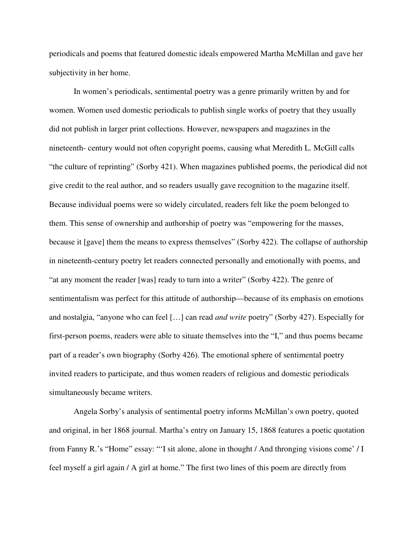periodicals and poems that featured domestic ideals empowered Martha McMillan and gave her subjectivity in her home.

 In women's periodicals, sentimental poetry was a genre primarily written by and for women. Women used domestic periodicals to publish single works of poetry that they usually did not publish in larger print collections. However, newspapers and magazines in the nineteenth- century would not often copyright poems, causing what Meredith L. McGill calls "the culture of reprinting" (Sorby 421). When magazines published poems, the periodical did not give credit to the real author, and so readers usually gave recognition to the magazine itself. Because individual poems were so widely circulated, readers felt like the poem belonged to them. This sense of ownership and authorship of poetry was "empowering for the masses, because it [gave] them the means to express themselves" (Sorby 422). The collapse of authorship in nineteenth-century poetry let readers connected personally and emotionally with poems, and "at any moment the reader [was] ready to turn into a writer" (Sorby 422). The genre of sentimentalism was perfect for this attitude of authorship—because of its emphasis on emotions and nostalgia, "anyone who can feel […] can read *and write* poetry" (Sorby 427). Especially for first-person poems, readers were able to situate themselves into the "I," and thus poems became part of a reader's own biography (Sorby 426). The emotional sphere of sentimental poetry invited readers to participate, and thus women readers of religious and domestic periodicals simultaneously became writers.

 Angela Sorby's analysis of sentimental poetry informs McMillan's own poetry, quoted and original, in her 1868 journal. Martha's entry on January 15, 1868 features a poetic quotation from Fanny R.'s "Home" essay: "'I sit alone, alone in thought / And thronging visions come' / I feel myself a girl again / A girl at home." The first two lines of this poem are directly from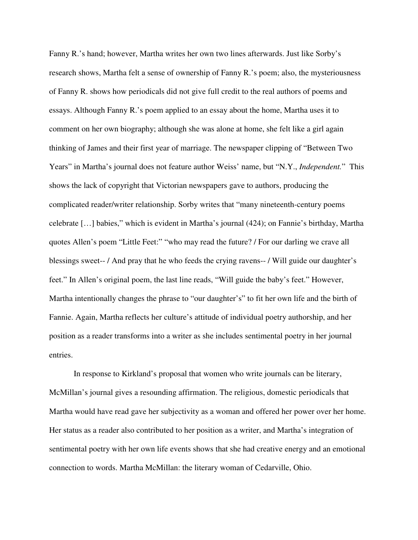Fanny R.'s hand; however, Martha writes her own two lines afterwards. Just like Sorby's research shows, Martha felt a sense of ownership of Fanny R.'s poem; also, the mysteriousness of Fanny R. shows how periodicals did not give full credit to the real authors of poems and essays. Although Fanny R.'s poem applied to an essay about the home, Martha uses it to comment on her own biography; although she was alone at home, she felt like a girl again thinking of James and their first year of marriage. The newspaper clipping of "Between Two Years" in Martha's journal does not feature author Weiss' name, but "N.Y., *Independent.*" This shows the lack of copyright that Victorian newspapers gave to authors, producing the complicated reader/writer relationship. Sorby writes that "many nineteenth-century poems celebrate […] babies," which is evident in Martha's journal (424); on Fannie's birthday, Martha quotes Allen's poem "Little Feet:" "who may read the future? / For our darling we crave all blessings sweet-- / And pray that he who feeds the crying ravens-- / Will guide our daughter's feet." In Allen's original poem, the last line reads, "Will guide the baby's feet." However, Martha intentionally changes the phrase to "our daughter's" to fit her own life and the birth of Fannie. Again, Martha reflects her culture's attitude of individual poetry authorship, and her position as a reader transforms into a writer as she includes sentimental poetry in her journal entries.

 In response to Kirkland's proposal that women who write journals can be literary, McMillan's journal gives a resounding affirmation. The religious, domestic periodicals that Martha would have read gave her subjectivity as a woman and offered her power over her home. Her status as a reader also contributed to her position as a writer, and Martha's integration of sentimental poetry with her own life events shows that she had creative energy and an emotional connection to words. Martha McMillan: the literary woman of Cedarville, Ohio.